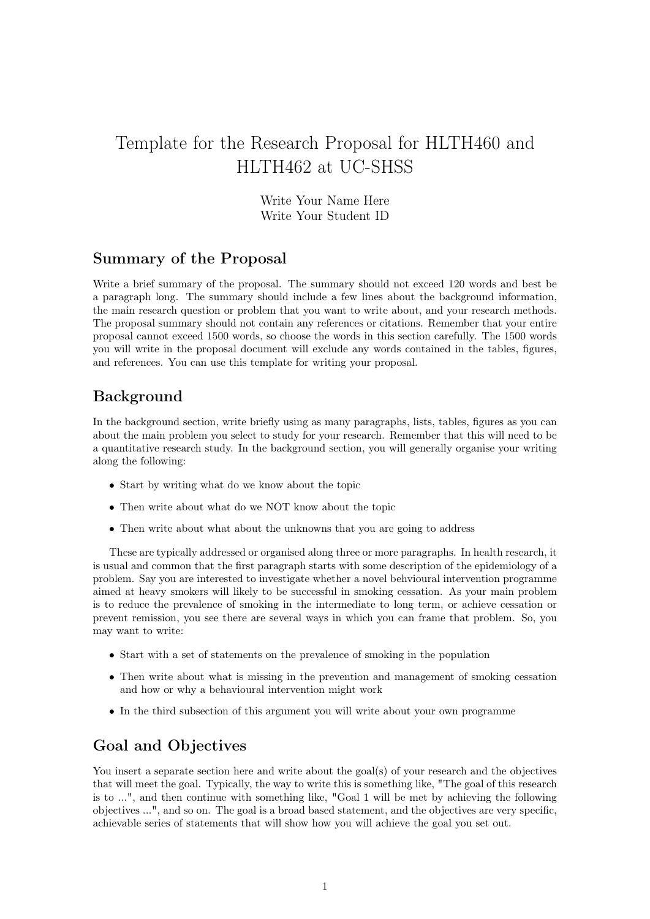# Template for the Research Proposal for HLTH460 and HLTH462 at UC-SHSS

Write Your Name Here Write Your Student ID

#### Summary of the Proposal

Write a brief summary of the proposal. The summary should not exceed 120 words and best be a paragraph long. The summary should include a few lines about the background information, the main research question or problem that you want to write about, and your research methods. The proposal summary should not contain any references or citations. Remember that your entire proposal cannot exceed 1500 words, so choose the words in this section carefully. The 1500 words you will write in the proposal document will exclude any words contained in the tables, figures, and references. You can use this template for writing your proposal.

## Background

In the background section, write briefly using as many paragraphs, lists, tables, figures as you can about the main problem you select to study for your research. Remember that this will need to be a quantitative research study. In the background section, you will generally organise your writing along the following:

- Start by writing what do we know about the topic
- Then write about what do we NOT know about the topic
- Then write about what about the unknowns that you are going to address

These are typically addressed or organised along three or more paragraphs. In health research, it is usual and common that the first paragraph starts with some description of the epidemiology of a problem. Say you are interested to investigate whether a novel behvioural intervention programme aimed at heavy smokers will likely to be successful in smoking cessation. As your main problem is to reduce the prevalence of smoking in the intermediate to long term, or achieve cessation or prevent remission, you see there are several ways in which you can frame that problem. So, you may want to write:

- Start with a set of statements on the prevalence of smoking in the population
- Then write about what is missing in the prevention and management of smoking cessation and how or why a behavioural intervention might work
- In the third subsection of this argument you will write about your own programme

## Goal and Objectives

You insert a separate section here and write about the goal(s) of your research and the objectives that will meet the goal. Typically, the way to write this is something like, "The goal of this research is to ...", and then continue with something like, "Goal 1 will be met by achieving the following objectives ...", and so on. The goal is a broad based statement, and the objectives are very specific, achievable series of statements that will show how you will achieve the goal you set out.